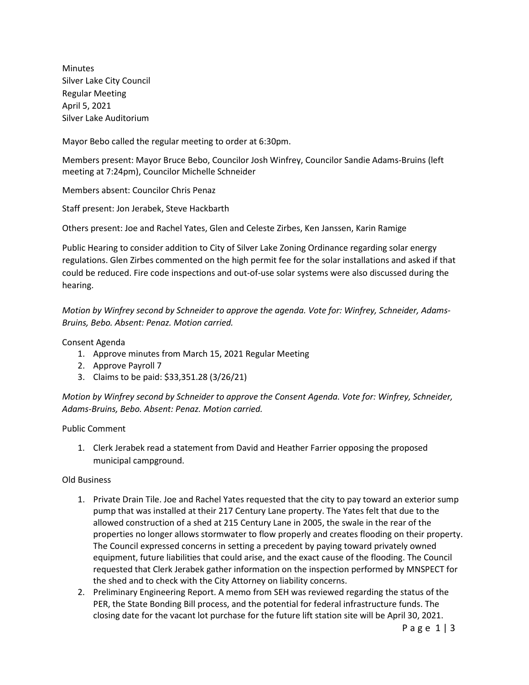Minutes Silver Lake City Council Regular Meeting April 5, 2021 Silver Lake Auditorium

Mayor Bebo called the regular meeting to order at 6:30pm.

Members present: Mayor Bruce Bebo, Councilor Josh Winfrey, Councilor Sandie Adams-Bruins (left meeting at 7:24pm), Councilor Michelle Schneider

Members absent: Councilor Chris Penaz

Staff present: Jon Jerabek, Steve Hackbarth

Others present: Joe and Rachel Yates, Glen and Celeste Zirbes, Ken Janssen, Karin Ramige

Public Hearing to consider addition to City of Silver Lake Zoning Ordinance regarding solar energy regulations. Glen Zirbes commented on the high permit fee for the solar installations and asked if that could be reduced. Fire code inspections and out-of-use solar systems were also discussed during the hearing.

*Motion by Winfrey second by Schneider to approve the agenda. Vote for: Winfrey, Schneider, Adams-Bruins, Bebo. Absent: Penaz. Motion carried.*

Consent Agenda

- 1. Approve minutes from March 15, 2021 Regular Meeting
- 2. Approve Payroll 7
- 3. Claims to be paid: \$33,351.28 (3/26/21)

*Motion by Winfrey second by Schneider to approve the Consent Agenda. Vote for: Winfrey, Schneider, Adams-Bruins, Bebo. Absent: Penaz. Motion carried.*

Public Comment

1. Clerk Jerabek read a statement from David and Heather Farrier opposing the proposed municipal campground.

## Old Business

- 1. Private Drain Tile. Joe and Rachel Yates requested that the city to pay toward an exterior sump pump that was installed at their 217 Century Lane property. The Yates felt that due to the allowed construction of a shed at 215 Century Lane in 2005, the swale in the rear of the properties no longer allows stormwater to flow properly and creates flooding on their property. The Council expressed concerns in setting a precedent by paying toward privately owned equipment, future liabilities that could arise, and the exact cause of the flooding. The Council requested that Clerk Jerabek gather information on the inspection performed by MNSPECT for the shed and to check with the City Attorney on liability concerns.
- 2. Preliminary Engineering Report. A memo from SEH was reviewed regarding the status of the PER, the State Bonding Bill process, and the potential for federal infrastructure funds. The closing date for the vacant lot purchase for the future lift station site will be April 30, 2021.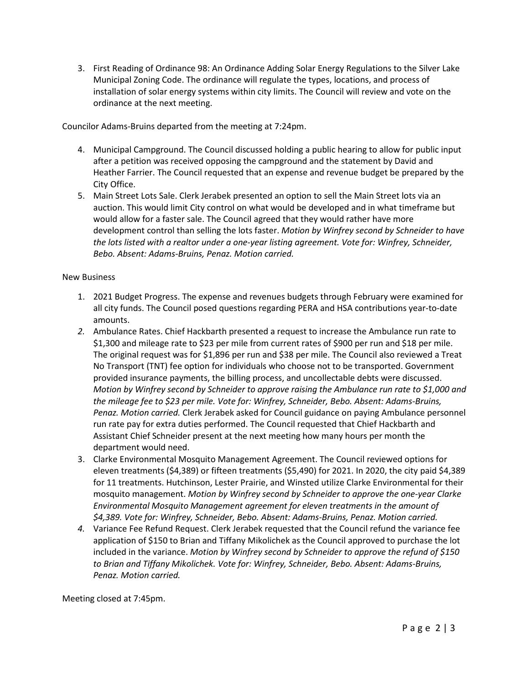3. First Reading of Ordinance 98: An Ordinance Adding Solar Energy Regulations to the Silver Lake Municipal Zoning Code. The ordinance will regulate the types, locations, and process of installation of solar energy systems within city limits. The Council will review and vote on the ordinance at the next meeting.

Councilor Adams-Bruins departed from the meeting at 7:24pm.

- 4. Municipal Campground. The Council discussed holding a public hearing to allow for public input after a petition was received opposing the campground and the statement by David and Heather Farrier. The Council requested that an expense and revenue budget be prepared by the City Office.
- 5. Main Street Lots Sale. Clerk Jerabek presented an option to sell the Main Street lots via an auction. This would limit City control on what would be developed and in what timeframe but would allow for a faster sale. The Council agreed that they would rather have more development control than selling the lots faster. *Motion by Winfrey second by Schneider to have the lots listed with a realtor under a one-year listing agreement. Vote for: Winfrey, Schneider, Bebo. Absent: Adams-Bruins, Penaz. Motion carried.*

## New Business

- 1. 2021 Budget Progress. The expense and revenues budgets through February were examined for all city funds. The Council posed questions regarding PERA and HSA contributions year-to-date amounts.
- *2.* Ambulance Rates. Chief Hackbarth presented a request to increase the Ambulance run rate to \$1,300 and mileage rate to \$23 per mile from current rates of \$900 per run and \$18 per mile. The original request was for \$1,896 per run and \$38 per mile. The Council also reviewed a Treat No Transport (TNT) fee option for individuals who choose not to be transported. Government provided insurance payments, the billing process, and uncollectable debts were discussed. *Motion by Winfrey second by Schneider to approve raising the Ambulance run rate to \$1,000 and the mileage fee to \$23 per mile. Vote for: Winfrey, Schneider, Bebo. Absent: Adams-Bruins, Penaz. Motion carried.* Clerk Jerabek asked for Council guidance on paying Ambulance personnel run rate pay for extra duties performed. The Council requested that Chief Hackbarth and Assistant Chief Schneider present at the next meeting how many hours per month the department would need.
- 3. Clarke Environmental Mosquito Management Agreement. The Council reviewed options for eleven treatments (\$4,389) or fifteen treatments (\$5,490) for 2021. In 2020, the city paid \$4,389 for 11 treatments. Hutchinson, Lester Prairie, and Winsted utilize Clarke Environmental for their mosquito management. *Motion by Winfrey second by Schneider to approve the one-year Clarke Environmental Mosquito Management agreement for eleven treatments in the amount of \$4,389. Vote for: Winfrey, Schneider, Bebo. Absent: Adams-Bruins, Penaz. Motion carried.*
- *4.* Variance Fee Refund Request. Clerk Jerabek requested that the Council refund the variance fee application of \$150 to Brian and Tiffany Mikolichek as the Council approved to purchase the lot included in the variance. *Motion by Winfrey second by Schneider to approve the refund of \$150 to Brian and Tiffany Mikolichek. Vote for: Winfrey, Schneider, Bebo. Absent: Adams-Bruins, Penaz. Motion carried.*

Meeting closed at 7:45pm.